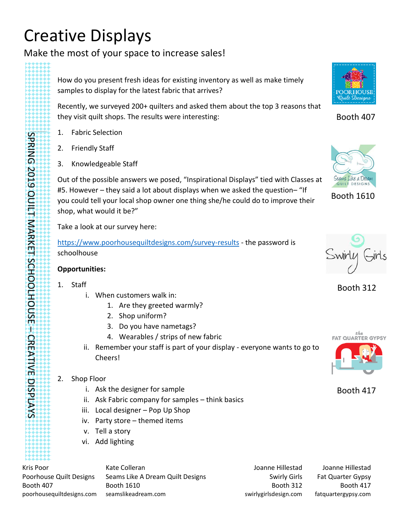# Creative Displays

Make the most of your space to increase sales!

How do you present fresh ideas for existing inventory as well as make timely samples to display for the latest fabric that arrives?

Recently, we surveyed 200+ quilters and asked them about the top 3 reasons that they visit quilt shops. The results were interesting:

- 1. Fabric Selection
- 2. Friendly Staff
- 3. Knowledgeable Staff

Out of the possible answers we posed, "Inspirational Displays" tied with Classes at #5. However – they said a lot about displays when we asked the question– "If you could tell your local shop owner one thing she/he could do to improve their shop, what would it be?"

Take a look at our survey here:

<https://www.poorhousequiltdesigns.com/survey-results> - the password is schoolhouse

## **Opportunities:**

1. Staff

SPRING 2019 QUILT MARKET SCHOOLHOUSE

SPRING 2019 QUILT MARKET SCHOOLHOUSE - CREATIVE DISPLAYS

CREATIVE DISPLAYS

- i. When customers walk in:
	- 1. Are they greeted warmly?
	- 2. Shop uniform?
	- 3. Do you have nametags?
	- 4. Wearables / strips of new fabric
- ii. Remember your staff is part of your display everyone wants to go to Cheers!
- 2. Shop Floor
	- i. Ask the designer for sample
	- ii. Ask Fabric company for samples think basics
	- iii. Local designer Pop Up Shop
	- iv. Party store themed items
	- v. Tell a story
	- vi. Add lighting

Kris Poor Poorhouse Quilt Designs Booth 407 poorhousequiltdesigns.com Kate Colleran Seams Like A Dream Quilt Designs Booth 1610 seamslikeadream.com

Joanne Hillestad Swirly Girls Booth 312 swirlygirlsdesign.com

Joanne Hillestad Fat Quarter Gypsy Booth 417 fatquartergypsy.com



Booth 407



Booth 1610



Booth 312



Booth 417